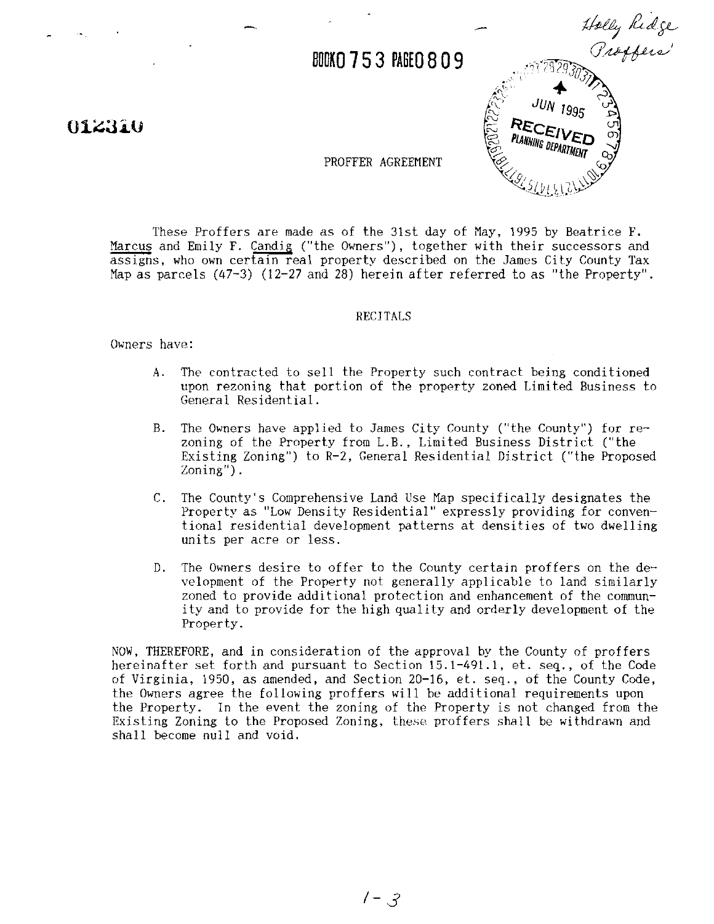**BOOKO 753 PAGEO 809** 

# 012310



PROFFER AGREEMENT

These Proffers are made as of the 31st day of May, 1995 by Beatrice F.<br>Marcus and Emily F. Candig ("the Owners"), together with their successors and PROFFER AGREEMENT<br>These Proffers are made as of the 31st day of May, 1995 by Beatrice F.<br>Marcus and Emily F. Candig ("the Owners"), together with their successors and<br>assigns, who own certain real property described on the assigns, who own certain real property described on the James City County Tax Map as parcels  $(47-3)$   $(12-27)$  and 28) herein after referred to as "the Property".

### RECITALS

Owners have:

- A. The contracted to sell the Property such contract being conditioned upon rezoning that portion of the property zoned Limited Business to General Residential.
- B. The Owners have applied to James City County ("the County") for rezoning of the Property from L.B., Limited Business District ("the Existing Zoning") to R-2, General Residential District ("the Proposed Zoning").
- C. The County's Comprehensive Land Use Map specifically designates the Property as "Low Density Residential" expressly providing for conventional residential development patterns at densities of two dwelling units per acre or less.
- D. The Owners desire to offer to the County certain proffers on the development of the Property not generally applicable to land similarly zoned to provide additional protection and enhancement of the communi ty and to provide for the high quality and orderly development of the Property.

NOW, THEREFORE, and in consideration of the dpproval by the County of proffers hereinafter set forth and pursuant to Section 15.1-491.1, et. seq., of the Code of Virginia, 1950, as amended, and Section 20-16, et. seq., of the County Code, the Owners agree the following proffers will be additional requirements upon the Property. In the event the zoning of the Property is not changed from the Existing Zoning to the Proposed Zoning, these proffers shall be withdrawn and shall become null and void.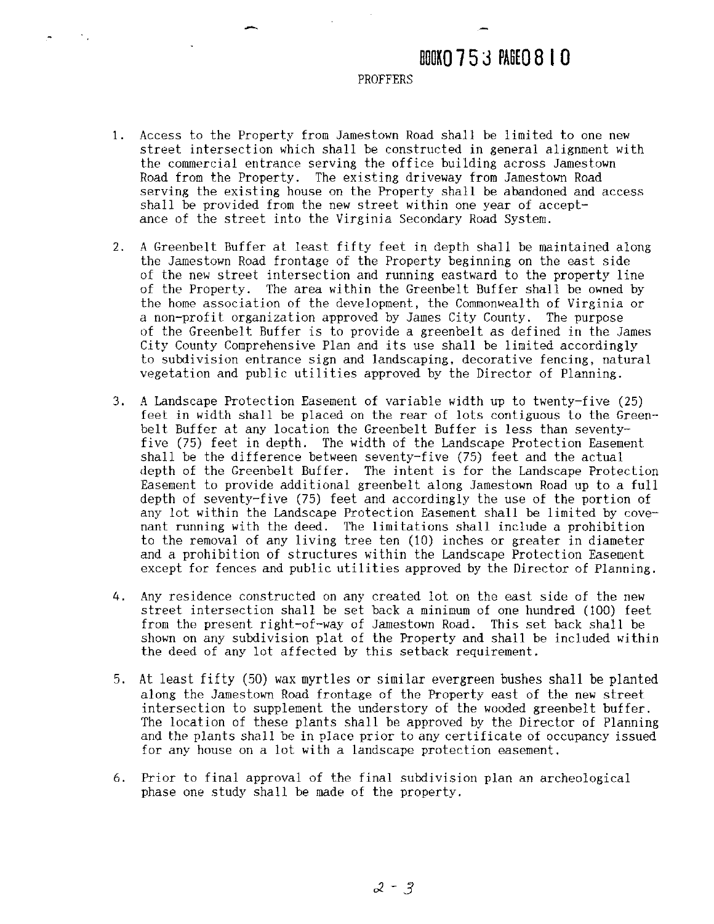# BOOKO 753 PAGEO 810

## PROFFERS

- 1. Access to the Property from Jamestown Road shall be limited to one new street intersection which shall be constructed in general alignment with the commercial entrance serving the office building across Jamestown Road from the Property. The existing driveway from Jamestown Road serving the existing house on the Property shall be abandoned and access shall be provided from the new street within one year of acceptance of the street into the Virginia Secondary Road System.
- 2. **A** Greenbelt Buffer at least fifty feet in depth shall be maintained along the Jamestown Road frontage of the Property beginning on the east side of the new street intersection and running eastward to the property line of the Property. The area within the Greenbelt Buffer shall be owned by the home association of the development, the Commonwealth of Virginia or a non-profit. organization approved by James City County. The purpose of the Greenbelt Buffer is to provide a greenbelt as defined in the James City County Comprehensive Plan and its use shall be limited accordingly to subdivision entrance sign and landscaping, decorative fencing, natural vegetation and public utilities approved by the Director of Planning.
- **3. .4** Landscape Protection Easement of variable width up to twenty-five (25) feet in width shall be placed on the rear of lots contiguous to the Greenbelt Buffer at any location the Greenbelt Buffer is less than seventyfive (75) feet in depth. The width of the Landscape Protection Easement shall be the difference between seventy-five (75) feet and the actual depth of the Greenbelt Buffer. The intent is for the Landscape Protection Easement to provide additional greenbelt along Jamestown Road up to a full depth of seventy-five (75) feet and accordingly the use of the portion of any lot within the Landscape Protection Easement shall be limited by covenant running with the deed. The limitations shall include a prohibition to the removal of any living tree ten (10) inches or greater in diameter and a prohibition of structures within the Landscape Protection Easement except for fences and public utilities approved by the Director of Planning.
- 4. Any residence constructed on any created lot on the east side of the new street intersection shall be set back a minimum of one hundred (100) feet from the present right-of-way of Jamestown Road. This set back shall be shown on any subdivision plat of the Property and shall be included within the deed of any lot affected by this setback requirement.
- 5. At least fifty (50) wax myrtles or similar evergreen bushes shall be planted along the Jamestown Road frontage of the Property east of the new street intersection to supplement the understory of the wooded greenbelt buffer. The location of these plants shall be approved by the Director of Planning and the plants shall be in place prior to any certificate of occupancy issued for any house on a lot with a landscape protection easement.
- 6. Prior to final approval of the final subdivision plan an archeological phase one study shall be made of the property.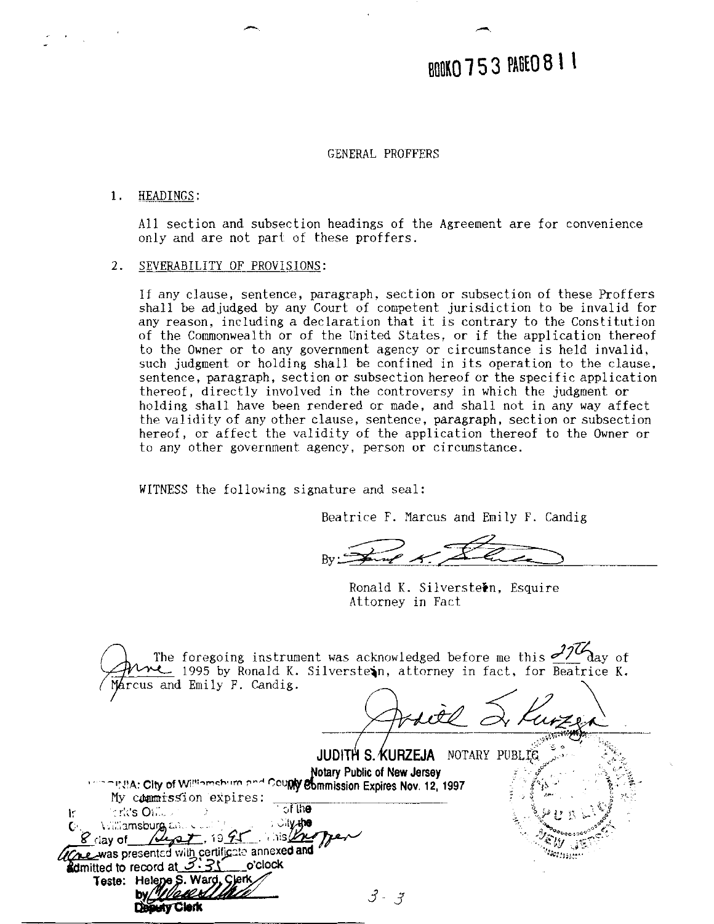# BOOKO 753 PAGEO 811

# GENERAL PROFFERS

### 1. HEADINGS:

All section and subsection headings of the Agreement are for convenience only and are not part of these proffers.

# **2.** SEVERABILITY OF PROVISIONS:

If any clause, sentence, paragraph. section or subsection of these Proffers shall be adjudged by any Court of competent jurisdiction to be invalid for any reason, including a declaration that it is contrary to the Constitution of the Commonwealth or of the United States. or if the application thereof to the Owner or to any government agency or circumstance is held invalid, such judgment or holding shall be confined in its operation to the clause, sentence, paragraph, section or subsection hereof or the specific application thereof, directly involved in the controversy in which the judgment or holding shall have been rendered or made, and shall not in any way affect the validity of any other clause, sentence, paragraph, section or subsection hereof, or affect the validity of the application thereof to the Owner or to any other government agency, person or circumstance.

WITNESS the following signature and seal:

Beatrice F. Marcus and Emily F. Candig

Ronald K. Silverstetn, Esquire Attorney in Fact

| $\mathcal{L}$ 1995 by Ronald K. Silverstein, attorney in fact, for Beatrice K.<br>Marcus and Emily F. Candig.                                                                                                        |                                                                | The foregoing instrument was acknowledged before me this $\frac{32}{4}$ ay of |
|----------------------------------------------------------------------------------------------------------------------------------------------------------------------------------------------------------------------|----------------------------------------------------------------|-------------------------------------------------------------------------------|
|                                                                                                                                                                                                                      |                                                                |                                                                               |
| <b>CONSIA: City of Williamsburg and Couply Eumnission Expires Nov. 12, 1997</b>                                                                                                                                      | JUDITH S. KURZEJA NOTARY PUBLIC<br>Notary Public of New Jersey |                                                                               |
| My commission expires:<br>ುf th <b>e</b><br>$\mathbb{R}$ rk's Oi $\mathbb{Z}$<br>ः ेाγ्रमु <b>ख</b><br><b>VERFORDSburg, Entra Card</b>                                                                               |                                                                |                                                                               |
| $\frac{1}{5}$ is $\frac{1}{2}$<br>$8$ day of $446$<br>Wre was presented with certificate annexed and<br>o clock<br><b>admitted to record at <math>\mathcal{I} \cdot 31</math></b><br>Helene S. Ward, Clerk<br>Teste: |                                                                |                                                                               |
| tv Clark                                                                                                                                                                                                             |                                                                |                                                                               |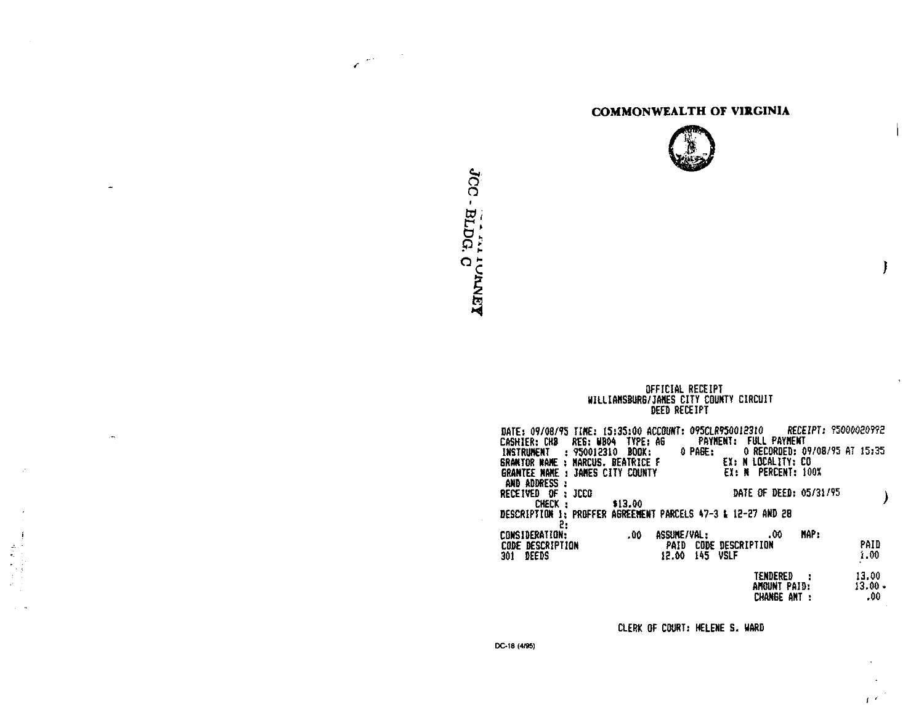# **COMMONWEALTH OF VIRGINIA**



# OFFICIAL RECEIPT<br>WILLIAMSBURG/JAMES CITY COUNTY CIRCUIT<br>DEED RECEIPT

| RECEIPT: 95000020992<br>DATE: 09/08/95 TIME: 15:35:00 ACCOUNT: 095CLR950012310<br>FULL PAYMENT<br><b>PAYMENT:</b>  |                    |
|--------------------------------------------------------------------------------------------------------------------|--------------------|
| CASHIER: CHB REG: WB04 TYPE: AG<br>0 RECORDED: 09/08/95 AT 15:35<br>0 PAGE:<br>INSTRUNENT : 950012310 BOOK:        |                    |
| EX: N LOCALITY: CO<br>SRANTOR WANE ; MARCUS, BEATRICE F<br>EX: N PERCENT: 100%<br>GRANTEE NAME : JAMES CITY COUNTY |                    |
| and address :<br>DATE OF DEED: 05/31/95<br>RECEIVED OF : JCCO                                                      |                    |
| CHECK :<br>\$13.00<br>DESCRIPTION 1: PROFFER AGREENENT PARCELS 47-3 & 12-27 AND 28                                 |                    |
| 5.<br><b>HAP:</b><br>.00<br>.00<br>ASSUME / VAL :<br>CONSIDERATION:                                                |                    |
| PAID<br>CODE DESCRIPTION<br>CODE DESCRIPTION<br>145 VSLF<br>DEEDS<br>12.00<br>301 -                                | PAID<br>1.00       |
|                                                                                                                    |                    |
| TENDERED :<br>AHOUNT PAID:                                                                                         | 13.00<br>$13.00 -$ |
| CHANGE ANT :                                                                                                       | .00                |

CLERK OF COURT: HELENE S. WARD

 $\mathbf{f}^{\top\mathbf{f}}$ 

JCC - BLDG. C

 $\mathcal{L}^{(m)}$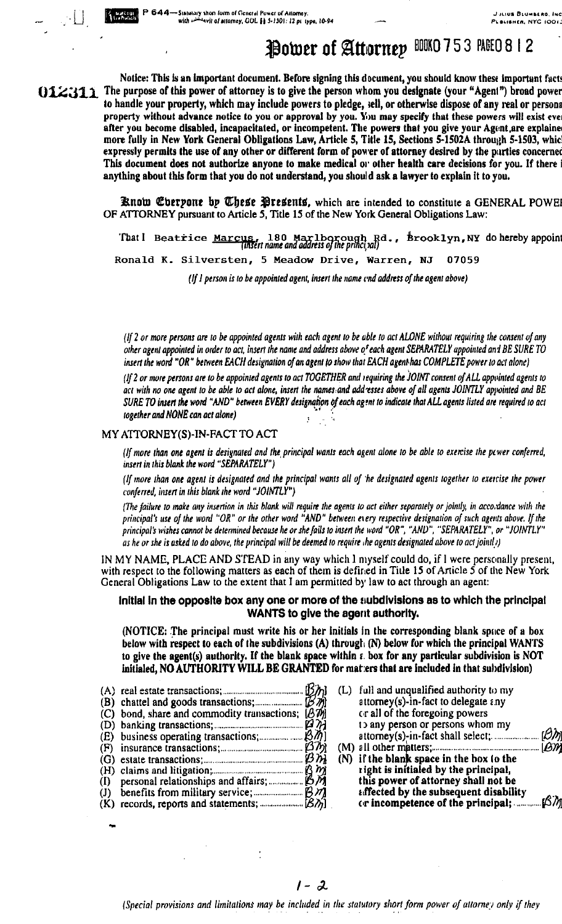# Power of Attorney BOKO 753 PAGEO 8 12

Notice: This is an important document. Before signing this document, you should know these important facts OLZ311 The purpose of this power of attorney is to give the person whom you designate (your "Agent") broad power to handle your property, which may include powers to pledge, sell, or otherwise dispose of any real or persona property without advance notice to you or approval by you. You may specify that these powers will exist eve. after you become disabled, incapacitated, or incompetent. The powers that you give your Agent are explaine more fully in New York General Obligations Law, Article 5, Title 15, Sections 5-1502A through 5-1503, whic expressly permits the use of any other or different form of power of attorney desired by the parties concerned This document does not authorize anyone to make medical or other health care decisions for you. If there i anything about this form that you do not understand, you should ask a lawyer to explain it to you.

> Enow Everpone by These Presents, which are intended to constitute a GENERAL POWEI OF ATTORNEY pursuant to Article 5, Title 15 of the New York General Obligations Law:

That I Beatrice Marcus, 180 Marlborough Rd.,  $\frac{1}{2}$  brooklyn, NY do hereby appoint Ronald K. Silversten, 5 Meadow Drive, Warren, NJ 07059

(If I person is to be appointed agent, insert the name end address of the agent above)

(If 2 or more persons are to be appointed agents with each agent to be able to act ALONE without requiring the consent of any other agent appointed in order to act, insert the name and address above of each agent SEPARATELY appointed and BE SURE TO insert the word "OR" between EACH designation of an agent to show that EACH agent has COMPLETE power to act alone)

(If 2 or more persons are to be appointed agents to act TOGETHER and requiring the JOINT consent of ALL appointed agents to act with no one agent to be able to act alone, insert the names and add esses above of all agents JOINTLY appointed and BE SURE TO insert the word "AND" between EVERY designation of each agent to indicate that ALL agents listed are required to act together and NONE can act alone)

# MY ATTORNEY(S)-IN-FACT TO ACT

(If more than one agent is designated and the principal wants each agent alone to be able to exercise the power conferred, insert in this blank the word "SEPARATELY")

(If more than one agent is designated and the principal wants all of the designated agents together to exercise the power conferred, insert in this blank the word "JOINTLY")

(The failure to make any insertion in this blank will require the agents to act either separately or jointly, in accordance with the principal's use of the word "OR" or the other word "AND" between every respective designation of such agents above. If the principal's wishes cannot be determined because he or she fails to insert the word "OR", "AND", "SEPARATELY", or "JOINTLY" as he or she is asked to do above, the principal will be deemed to require the agents designated above to act jointly)

IN MY NAME, PLACE AND STEAD in any way which I myself could do, if I were personally present, with respect to the following matters as each of them is defined in Title 15 of Article 5 of the New York General Obligations Law to the extent that I am permitted by law to act through an agent:

# Initial in the opposite box any one or more of the subdivisions as to which the principal WANTS to give the agent authority.

(NOTICE: The principal must write his or her initials in the corresponding blank space of a box below with respect to each of the subdivisions  $(A)$  through  $(N)$  below for which the principal WANTS to give the agent(s) authority. If the blank space within z box for any particular subdivision is NOT initialed, NO AUTHORITY WILL BE GRANTED for matters that are included in that subdivision)

- (C) bond, share and commodity transactions; [A]) (E) business operating transactions; [34] (G) estate transactions;  $\mathcal{B} \hat{m}$ (H) claims and litigation;<br>(I) personal relationships and affairs; (J) benefits from military service;  $\beta$   $\eta$ <br>(K) records, reports and statements;  $\beta\eta$
- (L) full and unqualified authority to my  $atromey(s)-in-factor$  to delegate  $\varepsilon_n$ or all of the foregoing powers to any person or persons whom my  $\beta$ attomey(s)-in-fact shall select; .............  $[BN]$
- (N) if the blank space in the box to the right is initialed by the principal, this power of attorney shall not be affected by the subsequent disability :ßM or incompetence of the principal; ..............

(Special provisions and limitations may be included in the statutory short form power of attorney only if they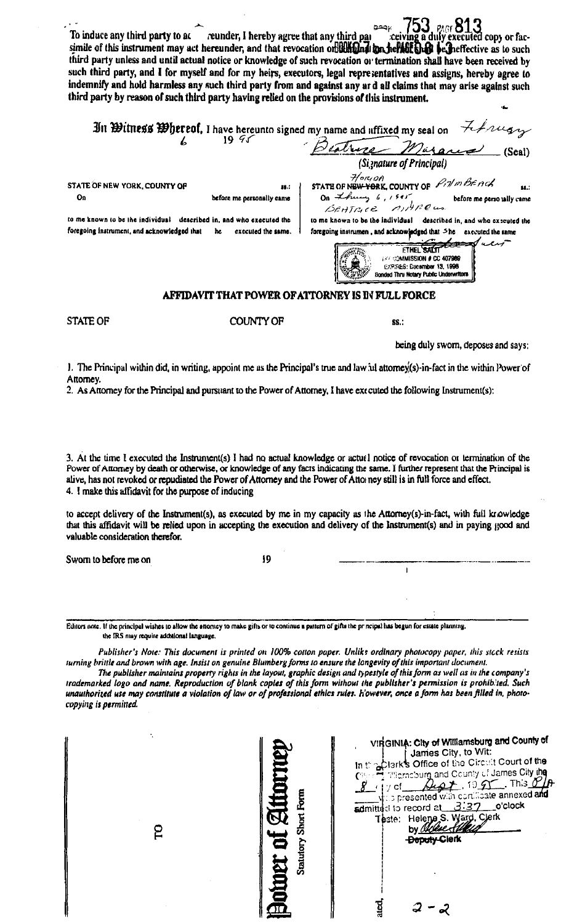753. pagr 813 To induce any third party to ac reunder, I hereby agree that any third par xecuted copy or facsimile of this instrument may act hereunder, and that revocation on the hold in the helder be heffective as to such third party unless and until actual notice or knowledge of such revocation or termination shall have been received by such third party, and I for myself and for my heirs, executors, legal representatives and assigns, hereby agree to indemnify and hold harmless any such third party from and against any ard all claims that may arise against such third party by reason of such third party having relied on the provisions of this instrument. In Extragstruck 30 in the section of the centre is signed my name and uffixed my seal on  $H$  have  $\mathcal{H}$  $19.95$  $\mathcal{L}$ Beatrice Mirares (Seal) (Signature of Principal)  $H$ <sub>ORI</sub>OA<br>STATE OF NEW YORK, COUNTY OF  $P$ <sub>O</sub> I'M BEACH STATE OF NEW YORK, COUNTY OF  $\mathbf{r}$  $\ddotsc$ On thing 6, 1945 On before me personslly came before me perso tally came BEATRICE MITROUS to me known to be the individual described in, and who executed the to me known to be the individual described in, and who executed the foregoing instrumen, and acknowledged that She executed the same foregoing instrument, and acknowledged that he executed the same. ★ **FTHEL SALT 139 COMMISSION # CC 407989 EXPIRES: Cacamber 13, 1996** Sonded Thru Notary Public Underwrite AFFIDAVIT THAT POWER OF ATTORNEY IS IN FULL FORCE **STATE OF COUNTY OF** \$\$.: being duly sworn, deposes and says:

1. The Principal within did, in writing, appoint me as the Principal's true and law ful attorney(s)-in-fact in the within Power of Attorney.

2. As Attorney for the Principal and pursuant to the Power of Attorney, I have executed the following Instrument(s):

3. At the time I executed the Instrument(s) I had no actual knowledge or actual notice of revocation or termination of the Power of Attorney by death or otherwise, or knowledge of any facts indicating the same. I further represent that the Principal is alive, has not revoked or repudiated the Power of Attorney and the Power of Attorney still is in full force and effect. 4. I make this affidavit for the purpose of inducing

to accept delivery of the Instrument(s), as executed by me in my capacity as the Attorney(s)-in-fact, with full knowledge that this affidavit will be relied upon in accepting the execution and delivery of the Instrument(s) and in paying good and valuable consideration therefor.

 $\mathbf{I}$ 

Sworn to before me on

19

Editors note. If the principal wishes to allow the attorney to make gifts or to continue a pattern of gifts the principal has begun for estate planning, the IRS may require additional language.

Publisher's Note: This document is printed on 100% cotton paper. Unlike ordinary photocopy paper, this stcck resists turning brittle and brown with age. Insist on genuine Blumberg forms to ensure the longevity of this important document.

The publisher maintains property rights in the layout, graphic design and typestyle of this form as well as in the company's trademarked logo and name. Reproduction of blank copies of this form without the publisher's permission is prohibited. Such unauthorized use may constitute a violation of law or of professional ethics rules. However, once a form has been filled in, photocopying is permitted.

VirtGINIA: City of Williamsburg and County of **James City, to Wit:** actork's Office of the Circuit Court of the  $ln t$ **Theracburg and County of James City ine**  $\rho_{\varphi}$  to  $\rho$  This  $\rho$  $\mathfrak{f}$  y of  $\mathfrak{f}$ **JOLDET OF ALL** s presented with continent annexed and Thate: Helene S. Ward. Clerk ဥ **Deputy Clerk** न<br>न  $2 - 2$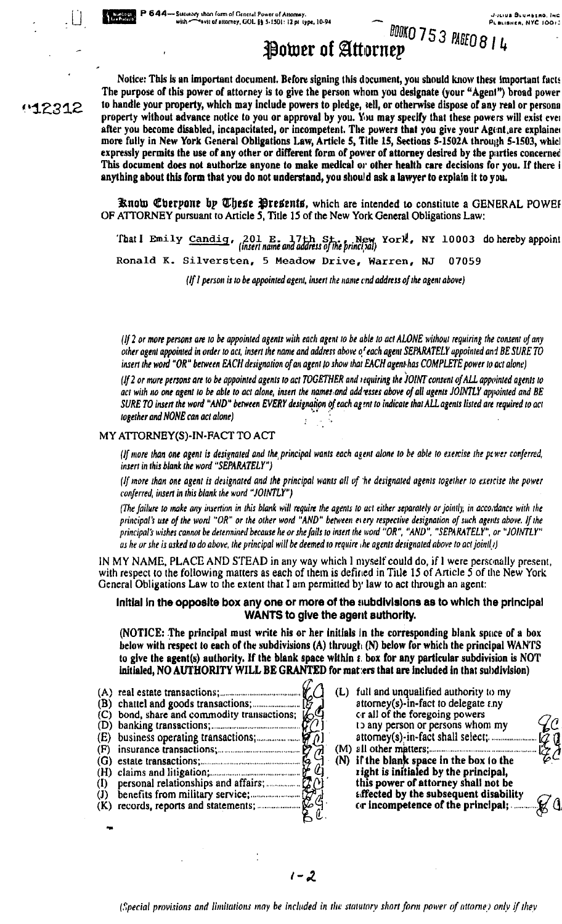# **BOOKO 753 PAGEO 8 14** Power of Attornep

Notice: This is an important document. Before signing this document, you should know these important facts The purpose of this power of attorney is to give the person whom you designate (your "Agenl") broad power **~512312** to handle your property, which may include powers to pledge, aell, or otherwise dispose or any real or persona property without advance notice to you or approval by you. You may specify that these powers will exist ever after you become disabled, incapacitated, or incompetent. The powers that you give your Agent, are explained more fully in New York General Obligations Law, Article 5, Title IS, Sections **5-15026** throulih **5-1503,** whicl expressly permits the use of any other or different form of power of attorney desired by the parties concerned This document does not authorize anyone to make medical **oro** other healtb care decisions for you. If there **i**  anything about this form that you do not understand, you should ask a lawyer to explain it to you.

> **Bnob Qlberpont bp pGbeBe %tedtntB,** which are intended to constitute a GENERAL POWEF OF ATTORNEY pursuant to Article 5, Title 15 of the New York General Obligations Law:

'That I Emily Candig, 201 E. 17th St., New York, NY 10003 do hereby appoint (*insert name and address of the principal*) **Ronald K. Silversten, 5 Meadow Drive, Warren, NJ 07059** 

*(If I person is to be appointed agent, insert the name cnd address of the agent above)* 

(If 2 or more persons are to be appointed agents with each agent to be able to act ALONE without requiring the consent of any other agent appointed in order to act, insert the name and address above of each agent SEPARATELY uppointed and BE SURE TO insert the word "OR" between EACH designation of an agent to show that **EACH** agent has COMPLETE power to act alone)

(If 2 or more persons are to be appointed agents to act TOGETHER and requiring the JOINT consent of ALL appointed agents to act with no one agent to be able to act alone, insert the names and addresses above of all ugents JOINTLY appointed and BE SURE TO insert the word "AND" between EVERY designation of each agent to indicate that ALL agents listed are required to act<br>together and NONE can act alone)

# MY ATTORNEY(S)-IN-FACT TO ACT

(If more than one agent is designated and the principal wants each agent alone to be able to exercise the pewer conferred, inserf in this blank the word "SEPARATELY")

(If more than one agent is designated and the principal wants all of 'he designated agents together to exercise the power conferred, insert in this blank the word "JOINTLY")

(The failure to make any insertion in this blank will require the agents to act either separately or jointly, in acco,dance with the principal's use of the word "OR" or the other word "AND" between every respective designation of such agents above. If the principal's wishes cannot be determined because he or she fails to insert the word "OR", "AND", "SEPARATELY", or "JOINTLY" as he or she is asked to do above, the principal will be deemed to require the agents designated above to act jointly)

IN MY NAME, PLACE AND STEAD in any way which I myself could do, if I were personally present, with respect to the following matters as each of them is defined in Title 15 of Article 5 of the New York General Obligations Law to the extent that I am permitted by law to act through an agent:

# Initial in the opposite box any one or more of the subdivisions as to which the principal **WANTS** to give the agent authority.

(NOTICE: The principal must write his or her initials in the corresponding blank space of a box below with respect to each of the subdivisions (A) through  $(N)$  below for which the principal WANTS to give the agent(s) authority. If the blank apace wlthin **r,** box for any particular subdivision is NOT

- initialed, NO AUTHORITY WILL BE GRANTED for mat:ers that are included in that subdivision)<br>real estate transactions;<br>challed and goods transactions;<br>bond, share and commodity transactions;<br>banking transactions;<br>banking tr **(A)** real este:e transactions; ............................................ (L) iull and unqualified authority to my (B) chattel and goods transactions; ...................... attorney(s)-in-fact to delegate r.ny (C) bond, share and commodity transactions;  $\mathcal{C}_1$  cr all of the foregoing powers (D) banking transactions;  $\mathcal{C}_2$  is any person or persons whom my (D) banking transactions;<br>(E) business operating transactions;<br>(F) insurance transactions;<br>(F) insurance transactions;<br>(F) insurance transactions; (F) insurance transactions;.., .................................... (M) all other I\$WXS **(G)** estate transactions;. **(N)** ir the blan spa (H) claims and litigation; .................. .. ..................... right is in~tialed by the principal, (I) personal relationships and affairs; .................. this power of attorney shall not be
- 
- 
- **(1)** benefits **from** military service; ...................... tiffected by the subsequent disability (K) records, repons and statements; ....................... car incompetence of the pdnclpal; ....... **d.**

 $1 - 2$ 

(Special provisions and limitations may be included in the statutory short form power of attorne) only if they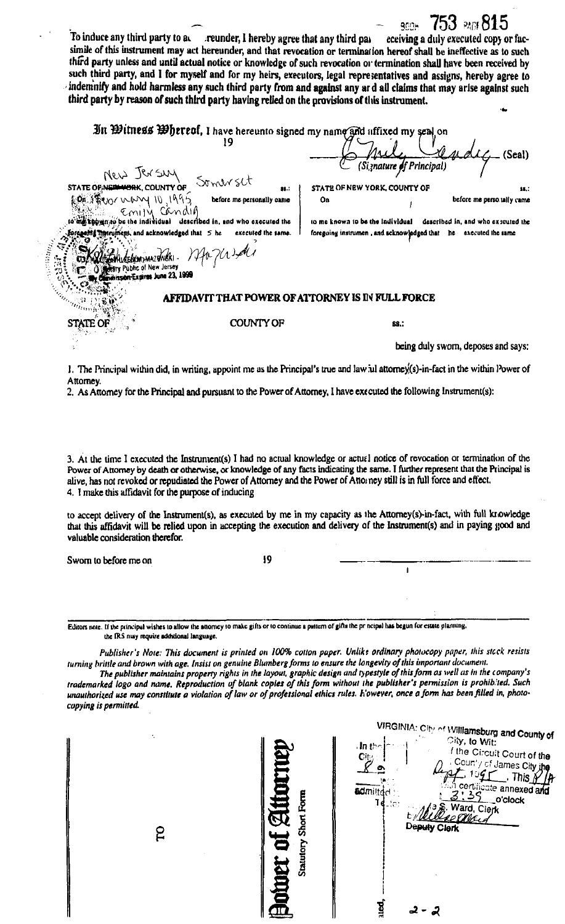| third party unless and until actual notice or knowledge of such revocation or termination shall have been received by<br>such third party, and I for myself and for my heirs, executors, legal representatives and assigns, hereby agree to<br>indemnify and hold harmless any such third party from and against any ard all claims that may arise against such<br>third party by reason of such third party having relied on the provisions of this instrument.                                           |
|------------------------------------------------------------------------------------------------------------------------------------------------------------------------------------------------------------------------------------------------------------------------------------------------------------------------------------------------------------------------------------------------------------------------------------------------------------------------------------------------------------|
| In Witness Whereof, I have hereunto signed my name and affixed my seal on<br>Arty Vincent<br>$\mathcal{L}\mathcal{L}$ (Seal)<br>STATE OF NEW YORK, COUNTY OF<br>\$8.7<br>before me perso tally came<br>On<br>to me known to be the individual described in, and who executed the<br>foregoing there include and acknowledged that 5 he executed the same.<br>foregoing instrumen, and acknowledged that he executed the same<br>Communely margaret / Ma Ma La<br><b>Climinission Expires June 23, 1999</b> |
| <b>AFFIDAVIT THAT POWER OF ATTORNEY IS IN FULL FORCE</b>                                                                                                                                                                                                                                                                                                                                                                                                                                                   |
| <b>COUNTY OF</b><br>ATE OF<br>SS.:                                                                                                                                                                                                                                                                                                                                                                                                                                                                         |
| being duly swom, deposes and says:<br>The Detection within did in writing uponiations or the Deposited's true and low in attornation foot in the within Dower of                                                                                                                                                                                                                                                                                                                                           |

1. The Principal within did, in writing, appoint me as the Principal's true and law ul attorney(s)-in-fact in the within Power of Attorney.

2. As Attorney for the Principal and pursuant to the Power of Attorney, I have executed the following Instrument(s):

3. At the time I executed the Instrument(s) I had no actual knowledge or actual notice of revocation or termination of the Power of Attorney by death or otherwise, or knowledge of any facts indicating the same. I further represent that the Principal is alive, has not revoked or repudiated the Power of Attorney and the Power of Attorney still is in full force and effect. 4. I make this affidavit for the purpose of inducing

to accept delivery of the Instrument(s), as executed by me in my capacity as the Attorney(s)-in-fact, with full knowledge that this affidavit will be relied upon in accepting the execution and delivery of the Instrument(s) and in paying good and valuable consideration therefor.

 $\mathbf{i}$ 

Sworn to before me on

 $19$ 

Editors note. If the principal wishes to allow the attorney so make gifts or to continue a pattern of gifts the pr neipal has begun for estate planning. the IRS may require additional language.

Publisher's Note: This document is printed on 100% cotton paper. Unlike ordinary photocopy paper, this stock resists turning brittle and brown with age. Insist on genuine Blumberg forms to ensure the longevity of this important document.

The publisher maintains property rights in the layout, graphic design and typestyle of this form as well as in the company's trademarked logo and name. Reproduction of blank copies of this form without the publisher's permission is prohibited. Such unauthorized use may constitute a violation of law or of professional ethics rules. However, once a form has been filled in, photocopying is permitted.

VIRGINIA: City of Williamsburg and County of City, to Wit:  $In t$ f the Circuit Court of the Сt Coun'y of James City the  $\lceil$  10 $\pmb{\mathcal{G}}$ r $\pmb{\Gamma}$ . This  $\lambda$ certificate annexed a **admindd**  $139$ **Statutory Short Form** \_o'clock ٦ć Ward, Clerk ver of Al Deputy Clerk ջ g 2 - 2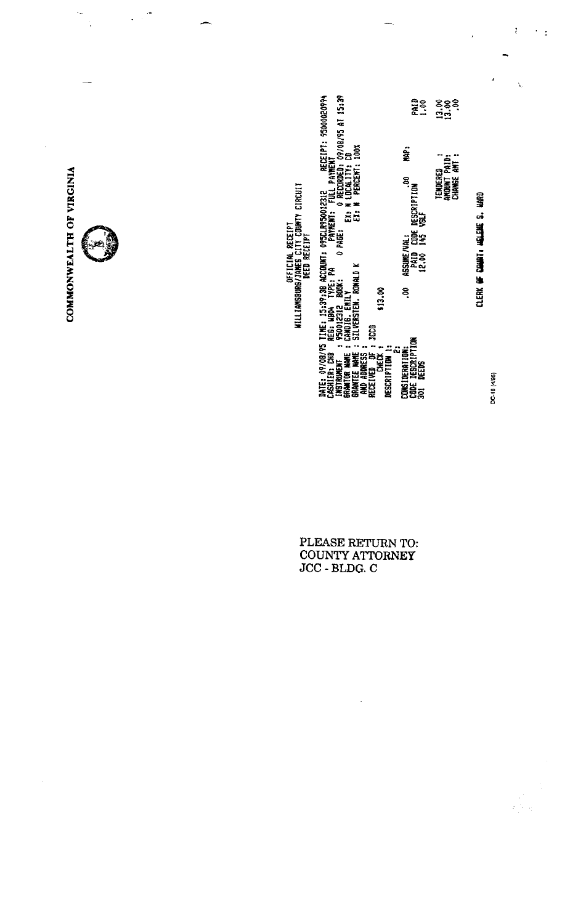DATE: 09/08/95 TIME: 15:39:38 ACCOUNT: 095CLR950012312 AECEIPT: 9500020994<br>CASHIER: CHB AEE: WD04 TYPE: PA PATEMENT: FULL PAYMENT<br>INSTRUMENT : 950012312 BODK: 0 PAGE: 0 RECORDED: 09/08/95 AT 15:39<br>GRANTEE WAME: SILVERSTEN. ori<br>1.30  $\frac{888}{130}$ ie. TENDERED<br>AMOUNT PAID:<br>Change Ant : **ASSUME/VAL:**<br>PAID CODE DESCRIPTION<br>12.00 145 VSLF **OFFICIAL ARCEIPT**<br>WILLIAMSBURG/JAMES CITY COUNTY CIRCUIT<br>WILLIAMSBURG/JAMES CITY COUNTY CIRCUIT క<br>? COMSIDERATION:<br>CODE DESCRIPTION<br>301 DEEDS<br>301 DEEDS

PLEASE RETURN TO:<br>COUNTY ATTORNEY<br>JCC - BLDG. C

COMMONWEALTH OF VIRGINIA

٠.,

 $\ddot{\phantom{1}}$ 

 $\ddot{\phantom{0}}$ 

CLERK OF COUNT HELEME S. HARD

DC-18 (4/95)

i<br>Prime  $\frac{1}{2}$ 

 $\frac{\bullet}{\epsilon}$ 

í.

 $\leq$   $\pm$